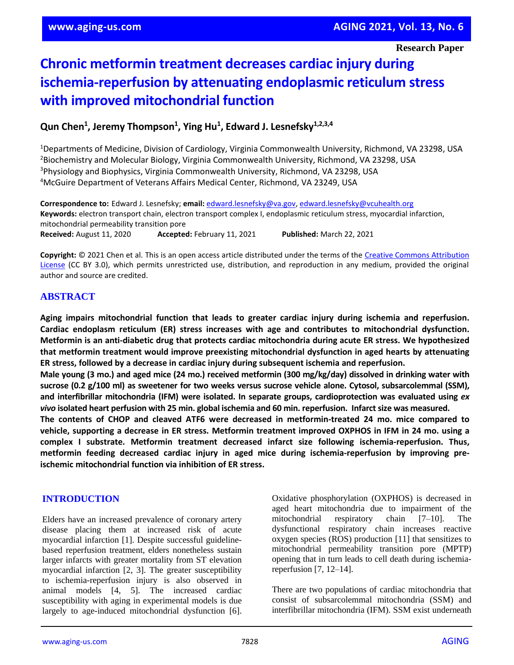## **Research Paper**

# **Chronic metformin treatment decreases cardiac injury during ischemia-reperfusion by attenuating endoplasmic reticulum stress with improved mitochondrial function**

## **Qun Chen<sup>1</sup> , Jeremy Thompson<sup>1</sup> , Ying Hu<sup>1</sup> , Edward J. Lesnefsky1,2,3,4**

Departments of Medicine, Division of Cardiology, Virginia Commonwealth University, Richmond, VA 23298, USA Biochemistry and Molecular Biology, Virginia Commonwealth University, Richmond, VA 23298, USA <sup>3</sup>Physiology and Biophysics, Virginia Commonwealth University, Richmond, VA 23298, USA McGuire Department of Veterans Affairs Medical Center, Richmond, VA 23249, USA

**Correspondence to:** Edward J. Lesnefsky; **email:** [edward.lesnefsky@va.gov,](mailto:edward.lesnefsky@va.gov) [edward.lesnefsky@vcuhealth.org](mailto:edward.lesnefsky@vcuhealth.org) **Keywords:** electron transport chain, electron transport complex I, endoplasmic reticulum stress, myocardial infarction, mitochondrial permeability transition pore **Received:** August 11, 2020 **Accepted:** February 11, 2021 **Published:** March 22, 2021

**Copyright:** © 2021 Chen et al. This is an open access article distributed under the terms of the [Creative Commons Attribution](https://creativecommons.org/licenses/by/3.0/)  [License](https://creativecommons.org/licenses/by/3.0/) (CC BY 3.0), which permits unrestricted use, distribution, and reproduction in any medium, provided the original author and source are credited.

## **ABSTRACT**

**Aging impairs mitochondrial function that leads to greater cardiac injury during ischemia and reperfusion. Cardiac endoplasm reticulum (ER) stress increases with age and contributes to mitochondrial dysfunction. Metformin is an anti-diabetic drug that protects cardiac mitochondria during acute ER stress. We hypothesized that metformin treatment would improve preexisting mitochondrial dysfunction in aged hearts by attenuating ER stress, followed by a decrease in cardiac injury during subsequent ischemia and reperfusion.**

Male young (3 mo.) and aged mice (24 mo.) received metformin (300 mg/kg/day) dissolved in drinking water with **sucrose (0.2 g/100 ml) as sweetener for two weeks versus sucrose vehicle alone. Cytosol, subsarcolemmal (SSM), and interfibrillar mitochondria (IFM) were isolated. In separate groups, cardioprotection was evaluated using** *ex vivo* **isolated heart perfusion with 25 min. global ischemia and 60 min. reperfusion. Infarct size was measured.**

**The contents of CHOP and cleaved ATF6 were decreased in metformin-treated 24 mo. mice compared to** vehicle, supporting a decrease in ER stress. Metformin treatment improved OXPHOS in IFM in 24 mo. using a **complex I substrate. Metformin treatment decreased infarct size following ischemia-reperfusion. Thus, metformin feeding decreased cardiac injury in aged mice during ischemia-reperfusion by improving preischemic mitochondrial function via inhibition of ER stress.**

## **INTRODUCTION**

Elders have an increased prevalence of coronary artery disease placing them at increased risk of acute myocardial infarction [1]. Despite successful guidelinebased reperfusion treatment, elders nonetheless sustain larger infarcts with greater mortality from ST elevation myocardial infarction [2, 3]. The greater susceptibility to ischemia-reperfusion injury is also observed in animal models [4, 5]. The increased cardiac susceptibility with aging in experimental models is due largely to age-induced mitochondrial dysfunction [6]. Oxidative phosphorylation (OXPHOS) is decreased in aged heart mitochondria due to impairment of the mitochondrial respiratory chain [7–10]. The dysfunctional respiratory chain increases reactive oxygen species (ROS) production [11] that sensitizes to mitochondrial permeability transition pore (MPTP) opening that in turn leads to cell death during ischemiareperfusion [7, 12–14].

There are two populations of cardiac mitochondria that consist of subsarcolemmal mitochondria (SSM) and interfibrillar mitochondria (IFM). SSM exist underneath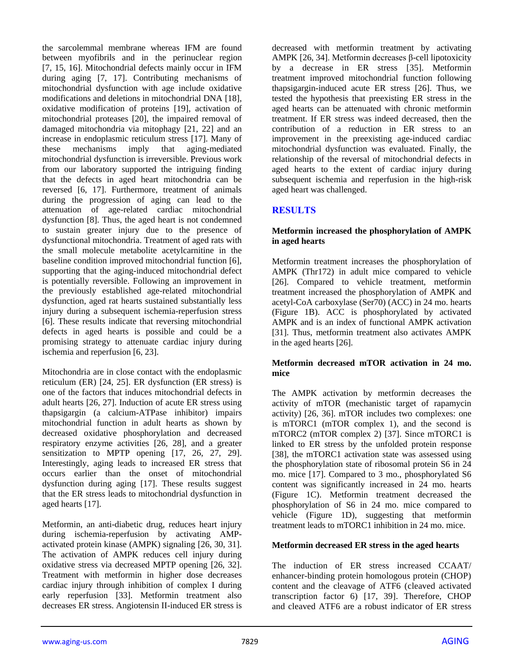the sarcolemmal membrane whereas IFM are found between myofibrils and in the perinuclear region [7, 15, 16]. Mitochondrial defects mainly occur in IFM during aging [7, 17]. Contributing mechanisms of mitochondrial dysfunction with age include oxidative modifications and deletions in mitochondrial DNA [18], oxidative modification of proteins [19], activation of mitochondrial proteases [20], the impaired removal of damaged mitochondria via mitophagy [21, 22] and an increase in endoplasmic reticulum stress [17]. Many of these mechanisms imply that aging-mediated mitochondrial dysfunction is irreversible. Previous work from our laboratory supported the intriguing finding that the defects in aged heart mitochondria can be reversed [6, 17]. Furthermore, treatment of animals during the progression of aging can lead to the attenuation of age-related cardiac mitochondrial dysfunction [8]. Thus, the aged heart is not condemned to sustain greater injury due to the presence of dysfunctional mitochondria. Treatment of aged rats with the small molecule metabolite acetylcarnitine in the baseline condition improved mitochondrial function [6], supporting that the aging-induced mitochondrial defect is potentially reversible. Following an improvement in the previously established age-related mitochondrial dysfunction, aged rat hearts sustained substantially less injury during a subsequent ischemia-reperfusion stress [6]. These results indicate that reversing mitochondrial defects in aged hearts is possible and could be a promising strategy to attenuate cardiac injury during ischemia and reperfusion [6, 23].

Mitochondria are in close contact with the endoplasmic reticulum (ER) [24, 25]. ER dysfunction (ER stress) is one of the factors that induces mitochondrial defects in adult hearts [26, 27]. Induction of acute ER stress using thapsigargin (a calcium-ATPase inhibitor) impairs mitochondrial function in adult hearts as shown by decreased oxidative phosphorylation and decreased respiratory enzyme activities [26, 28], and a greater sensitization to MPTP opening [17, 26, 27, 29]. Interestingly, aging leads to increased ER stress that occurs earlier than the onset of mitochondrial dysfunction during aging [17]. These results suggest that the ER stress leads to mitochondrial dysfunction in aged hearts [17].

Metformin, an anti-diabetic drug, reduces heart injury during ischemia-reperfusion by activating AMPactivated protein kinase (AMPK) signaling [26, 30, 31]. The activation of AMPK reduces cell injury during oxidative stress via decreased MPTP opening [26, 32]. Treatment with metformin in higher dose decreases cardiac injury through inhibition of complex I during early reperfusion [33]. Metformin treatment also decreases ER stress. Angiotensin II-induced ER stress is

decreased with metformin treatment by activating AMPK [26, 34]. Metformin decreases β-cell lipotoxicity by a decrease in ER stress [35]. Metformin treatment improved mitochondrial function following thapsigargin-induced acute ER stress [26]. Thus, we tested the hypothesis that preexisting ER stress in the aged hearts can be attenuated with chronic metformin treatment. If ER stress was indeed decreased, then the contribution of a reduction in ER stress to an improvement in the preexisting age-induced cardiac mitochondrial dysfunction was evaluated. Finally, the relationship of the reversal of mitochondrial defects in aged hearts to the extent of cardiac injury during subsequent ischemia and reperfusion in the high-risk aged heart was challenged.

## **RESULTS**

#### **Metformin increased the phosphorylation of AMPK in aged hearts**

Metformin treatment increases the phosphorylation of AMPK (Thr172) in adult mice compared to vehicle [26]. Compared to vehicle treatment, metformin treatment increased the phosphorylation of AMPK and acetyl-CoA carboxylase (Ser70) (ACC) in 24 mo. hearts (Figure 1B). ACC is phosphorylated by activated AMPK and is an index of functional AMPK activation [31]. Thus, metformin treatment also activates AMPK in the aged hearts [26].

### **Metformin decreased mTOR activation in 24 mo. mice**

The AMPK activation by metformin decreases the activity of mTOR (mechanistic target of rapamycin activity) [26, 36]. mTOR includes two complexes: one is mTORC1 (mTOR complex 1), and the second is mTORC2 (mTOR complex 2) [37]. Since mTORC1 is linked to ER stress by the unfolded protein response [38], the mTORC1 activation state was assessed using the phosphorylation state of ribosomal protein S6 in 24 mo. mice [17]. Compared to 3 mo., phosphorylated S6 content was significantly increased in 24 mo. hearts (Figure 1C). Metformin treatment decreased the phosphorylation of S6 in 24 mo. mice compared to vehicle (Figure 1D), suggesting that metformin treatment leads to mTORC1 inhibition in 24 mo. mice.

### **Metformin decreased ER stress in the aged hearts**

The induction of ER stress increased CCAAT/ enhancer-binding protein homologous protein (CHOP) content and the cleavage of ATF6 (cleaved activated transcription factor 6) [17, 39]. Therefore, CHOP and cleaved ATF6 are a robust indicator of ER stress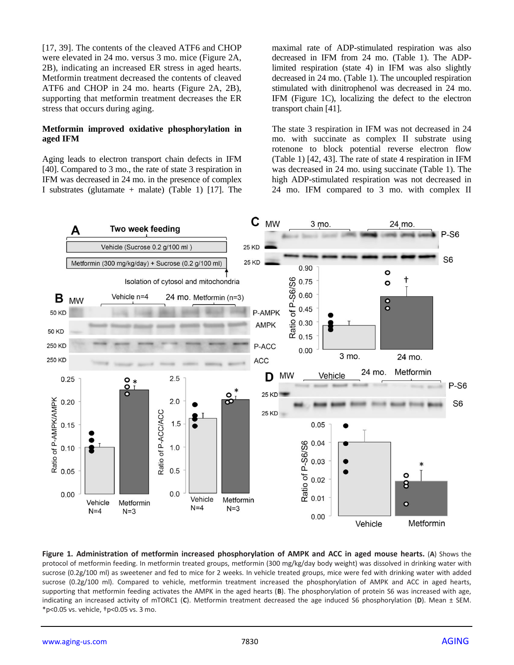[17, 39]. The contents of the cleaved ATF6 and CHOP were elevated in 24 mo. versus 3 mo. mice (Figure 2A, 2B), indicating an increased ER stress in aged hearts. Metformin treatment decreased the contents of cleaved ATF6 and CHOP in 24 mo. hearts (Figure 2A, 2B), supporting that metformin treatment decreases the ER stress that occurs during aging.

#### **Metformin improved oxidative phosphorylation in aged IFM**

Aging leads to electron transport chain defects in IFM [40]. Compared to 3 mo., the rate of state 3 respiration in IFM was decreased in 24 mo. in the presence of complex I substrates (glutamate + malate) (Table 1) [17]. The maximal rate of ADP-stimulated respiration was also decreased in IFM from 24 mo. (Table 1). The ADPlimited respiration (state 4) in IFM was also slightly decreased in 24 mo. (Table 1). The uncoupled respiration stimulated with dinitrophenol was decreased in 24 mo. IFM (Figure 1C), localizing the defect to the electron transport chain [41].

The state 3 respiration in IFM was not decreased in 24 mo. with succinate as complex II substrate using rotenone to block potential reverse electron flow (Table 1) [42, 43]. The rate of state 4 respiration in IFM was decreased in 24 mo. using succinate (Table 1). The high ADP-stimulated respiration was not decreased in 24 mo. IFM compared to 3 mo. with complex II



**Figure 1. Administration of metformin increased phosphorylation of AMPK and ACC in aged mouse hearts.** (**A**) Shows the protocol of metformin feeding. In metformin treated groups, metformin (300 mg/kg/day body weight) was dissolved in drinking water with sucrose (0.2g/100 ml) as sweetener and fed to mice for 2 weeks. In vehicle treated groups, mice were fed with drinking water with added sucrose (0.2g/100 ml). Compared to vehicle, metformin treatment increased the phosphorylation of AMPK and ACC in aged hearts, supporting that metformin feeding activates the AMPK in the aged hearts (**B**). The phosphorylation of protein S6 was increased with age, indicating an increased activity of mTORC1 (**C**). Metformin treatment decreased the age induced S6 phosphorylation (**D**). Mean ± SEM. \*p<0.05 vs. vehicle, †p<0.05 vs. 3 mo.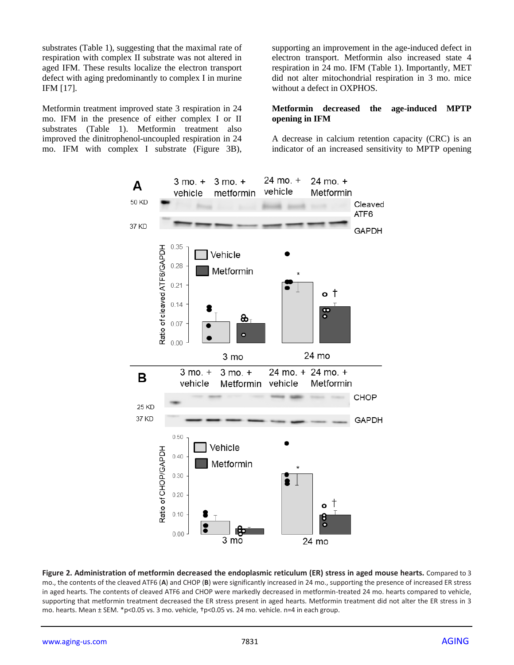substrates (Table 1), suggesting that the maximal rate of respiration with complex II substrate was not altered in aged IFM. These results localize the electron transport defect with aging predominantly to complex I in murine IFM [17].

Metformin treatment improved state 3 respiration in 24 mo. IFM in the presence of either complex I or II substrates (Table 1). Metformin treatment also improved the dinitrophenol-uncoupled respiration in 24 mo. IFM with complex I substrate (Figure 3B), supporting an improvement in the age-induced defect in electron transport. Metformin also increased state 4 respiration in 24 mo. IFM (Table 1). Importantly, MET did not alter mitochondrial respiration in 3 mo. mice without a defect in OXPHOS.

#### **Metformin decreased the age-induced MPTP opening in IFM**

A decrease in calcium retention capacity (CRC) is an indicator of an increased sensitivity to MPTP opening



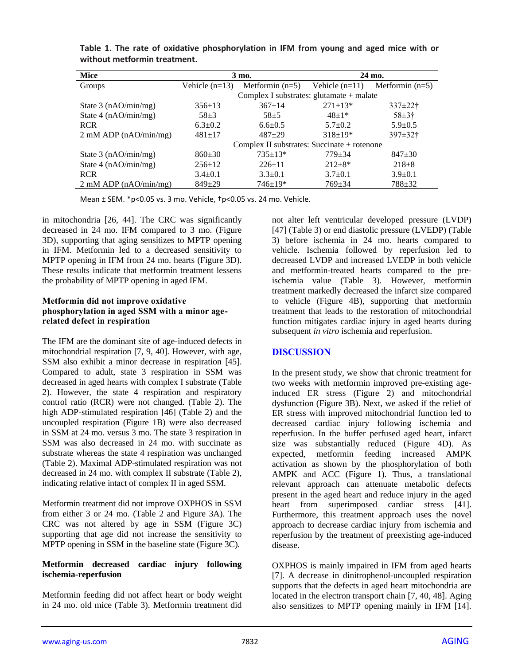| Mice                            | 3 mo.                                       |                                          | 24 mo.           |                   |
|---------------------------------|---------------------------------------------|------------------------------------------|------------------|-------------------|
| Groups                          | Vehicle $(n=13)$                            | Metformin $(n=5)$                        | Vehicle $(n=11)$ | Metformin $(n=5)$ |
|                                 |                                             | Complex I substrates: glutamate + malate |                  |                   |
| State $3 \text{ (nAO/min/mg)}$  | $356 \pm 13$                                | $367 \pm 14$                             | $271 \pm 13*$    | $337\pm22$        |
| State 4 $(nAO/min/mg)$          | $58+3$                                      | $58 + 5$                                 | $48+1*$          | $58 \pm 31$       |
| <b>RCR</b>                      | $6.3 \pm 0.2$                               | $6.6 \pm 0.5$                            | $5.7 \pm 0.2$    | $5.9 \pm 0.5$     |
| $2$ mM ADP (nAO/min/mg)         | $481 \pm 17$                                | $487 + 29$                               | $318 \pm 19*$    | $397 \pm 32$ †    |
|                                 | Complex II substrates: Succinate + rotenone |                                          |                  |                   |
| State $3 \text{ (nAO/min/mg)}$  | $860\pm30$                                  | $735 \pm 13*$                            | $779 + 34$       | $847 + 30$        |
| State 4 $(nAO/min/mg)$          | $256 \pm 12$                                | $226 \pm 11$                             | $212 \pm 8*$     | $218 + 8$         |
| <b>RCR</b>                      | $3.4 \pm 0.1$                               | $3.3 \pm 0.1$                            | $3.7 \pm 0.1$    | $3.9 \pm 0.1$     |
| $2 \text{ mM ADP (nAO/min/mg)}$ | $849 + 29$                                  | $746+19*$                                | $769 + 34$       | 788±32            |

**Table 1. The rate of oxidative phosphorylation in IFM from young and aged mice with or without metformin treatment.**

Mean ± SEM. \*p<0.05 vs. 3 mo. Vehicle, †p<0.05 vs. 24 mo. Vehicle.

in mitochondria [26, 44]. The CRC was significantly decreased in 24 mo. IFM compared to 3 mo. (Figure 3D), supporting that aging sensitizes to MPTP opening in IFM. Metformin led to a decreased sensitivity to MPTP opening in IFM from 24 mo. hearts (Figure 3D). These results indicate that metformin treatment lessens the probability of MPTP opening in aged IFM.

## **Metformin did not improve oxidative phosphorylation in aged SSM with a minor agerelated defect in respiration**

The IFM are the dominant site of age-induced defects in mitochondrial respiration [7, 9, 40]. However, with age, SSM also exhibit a minor decrease in respiration [45]. Compared to adult, state 3 respiration in SSM was decreased in aged hearts with complex I substrate (Table 2). However, the state 4 respiration and respiratory control ratio (RCR) were not changed. (Table 2). The high ADP-stimulated respiration [46] (Table 2) and the uncoupled respiration (Figure 1B) were also decreased in SSM at 24 mo. versus 3 mo. The state 3 respiration in SSM was also decreased in 24 mo. with succinate as substrate whereas the state 4 respiration was unchanged (Table 2). Maximal ADP-stimulated respiration was not decreased in 24 mo. with complex II substrate (Table 2), indicating relative intact of complex II in aged SSM.

Metformin treatment did not improve OXPHOS in SSM from either 3 or 24 mo. (Table 2 and Figure 3A). The CRC was not altered by age in SSM (Figure 3C) supporting that age did not increase the sensitivity to MPTP opening in SSM in the baseline state (Figure 3C).

## **Metformin decreased cardiac injury following ischemia-reperfusion**

Metformin feeding did not affect heart or body weight in 24 mo. old mice (Table 3). Metformin treatment did not alter left ventricular developed pressure (LVDP) [47] (Table 3) or end diastolic pressure (LVEDP) (Table 3) before ischemia in 24 mo. hearts compared to vehicle. Ischemia followed by reperfusion led to decreased LVDP and increased LVEDP in both vehicle and metformin-treated hearts compared to the preischemia value (Table 3). However, metformin treatment markedly decreased the infarct size compared to vehicle (Figure 4B), supporting that metformin treatment that leads to the restoration of mitochondrial function mitigates cardiac injury in aged hearts during subsequent *in vitro* ischemia and reperfusion.

## **DISCUSSION**

In the present study, we show that chronic treatment for two weeks with metformin improved pre-existing ageinduced ER stress (Figure 2) and mitochondrial dysfunction (Figure 3B). Next, we asked if the relief of ER stress with improved mitochondrial function led to decreased cardiac injury following ischemia and reperfusion. In the buffer perfused aged heart, infarct size was substantially reduced (Figure 4D). As expected, metformin feeding increased AMPK activation as shown by the phosphorylation of both AMPK and ACC (Figure 1). Thus, a translational relevant approach can attenuate metabolic defects present in the aged heart and reduce injury in the aged heart from superimposed cardiac stress [41]. Furthermore, this treatment approach uses the novel approach to decrease cardiac injury from ischemia and reperfusion by the treatment of preexisting age-induced disease.

OXPHOS is mainly impaired in IFM from aged hearts [7]. A decrease in dinitrophenol-uncoupled respiration supports that the defects in aged heart mitochondria are located in the electron transport chain [7, 40, 48]. Aging also sensitizes to MPTP opening mainly in IFM [14].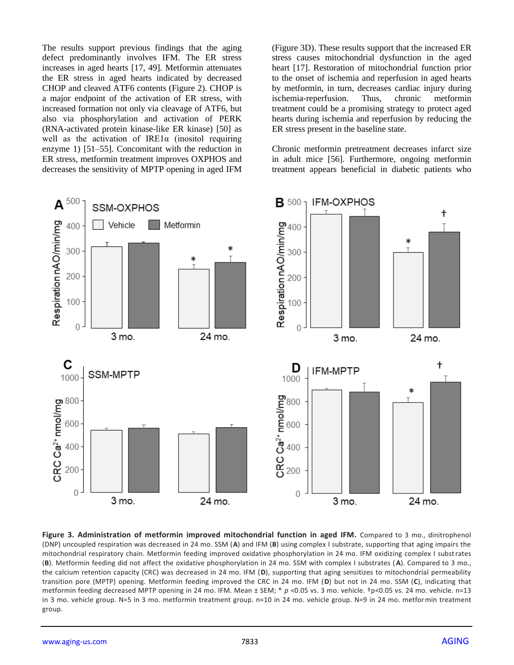The results support previous findings that the aging defect predominantly involves IFM. The ER stress increases in aged hearts [17, 49]. Metformin attenuates the ER stress in aged hearts indicated by decreased CHOP and cleaved ATF6 contents (Figure 2). CHOP is a major endpoint of the activation of ER stress, with increased formation not only via cleavage of ATF6, but also via phosphorylation and activation of PERK (RNA-activated protein kinase-like ER kinase) [50] as well as the activation of IRE1α (inositol requiring enzyme 1) [51–55]. Concomitant with the reduction in ER stress, metformin treatment improves OXPHOS and decreases the sensitivity of MPTP opening in aged IFM (Figure 3D). These results support that the increased ER stress causes mitochondrial dysfunction in the aged heart [17]. Restoration of mitochondrial function prior to the onset of ischemia and reperfusion in aged hearts by metformin, in turn, decreases cardiac injury during ischemia-reperfusion. Thus, chronic metformin treatment could be a promising strategy to protect aged hearts during ischemia and reperfusion by reducing the ER stress present in the baseline state.

Chronic metformin pretreatment decreases infarct size in adult mice [56]. Furthermore, ongoing metformin treatment appears beneficial in diabetic patients who



**Figure 3. Administration of metformin improved mitochondrial function in aged IFM.** Compared to 3 mo., dinitrophenol (DNP) uncoupled respiration was decreased in 24 mo. SSM (**A**) and IFM (**B**) using complex I substrate, supporting that aging impairs the mitochondrial respiratory chain. Metformin feeding improved oxidative phosphorylation in 24 mo. IFM oxidizing complex I substrates (**B**). Metformin feeding did not affect the oxidative phosphorylation in 24 mo. SSM with complex I substrates (**A**). Compared to 3 mo., the calcium retention capacity (CRC) was decreased in 24 mo. IFM (**D**), supporting that aging sensitizes to mitochondrial permeability transition pore (MPTP) opening. Metformin feeding improved the CRC in 24 mo. IFM (**D**) but not in 24 mo. SSM (**C**), indicating that metformin feeding decreased MPTP opening in 24 mo. IFM. Mean ± SEM; \* *p* <0.05 vs. 3 mo. vehicle. †p<0.05 vs. 24 mo. vehicle. n=13 in 3 mo. vehicle group. N=5 in 3 mo. metformin treatment group. n=10 in 24 mo. vehicle group. N=9 in 24 mo. metformin treatment group.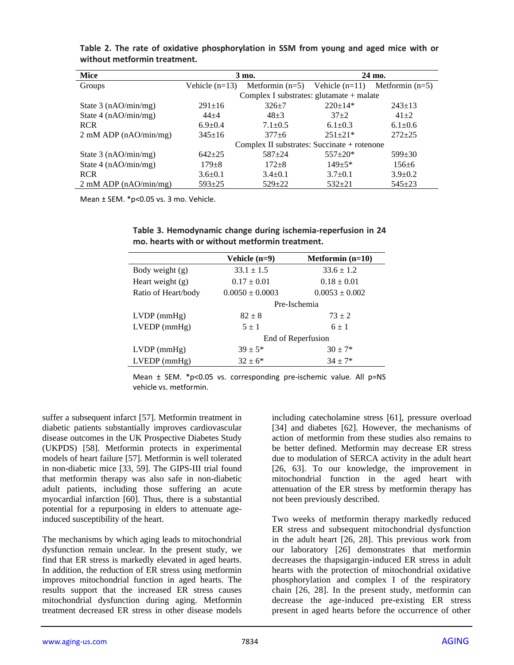| Mice                            | $3 \text{ mo}$ .                            |                                          | 24 mo.        |                   |
|---------------------------------|---------------------------------------------|------------------------------------------|---------------|-------------------|
| Groups                          | Vehicle $(n=13)$                            | Metformin $(n=5)$ Vehicle $(n=11)$       |               | Metformin $(n=5)$ |
|                                 |                                             | Complex I substrates: glutamate + malate |               |                   |
| State $3 \text{ (nAO/min/mg)}$  | $291 \pm 16$                                | $326 \pm 7$                              | $220+14*$     | $243 \pm 13$      |
| State 4 $(nAO/min/mg)$          | $44 + 4$                                    | $48 + 3$                                 | $37 + 2$      | $41 + 2$          |
| <b>RCR</b>                      | $6.9 \pm 0.4$                               | $7.1 \pm 0.5$                            | $6.1 \pm 0.3$ | $6.1 \pm 0.6$     |
| $2 \text{ mM ADP (nAO/min/mg)}$ | $345 \pm 16$                                | $377+6$                                  | $251 \pm 21*$ | $272 + 25$        |
|                                 | Complex II substrates: Succinate + rotenone |                                          |               |                   |
| State $3 \text{ (nAO/min/mg)}$  | $642 \pm 25$                                | $587 + 24$                               | $557+20*$     | $599 \pm 30$      |
| State 4 (nAO/min/mg)            | $179 + 8$                                   | $172 + 8$                                | $149 \pm 5*$  | $156 \pm 6$       |
| <b>RCR</b>                      | $3.6 \pm 0.1$                               | $3.4 \pm 0.1$                            | $3.7 \pm 0.1$ | $3.9 \pm 0.2$     |
| $2 \text{ mM ADP (nAO/min/mg)}$ | $593 \pm 25$                                | $529 \pm 22$                             | $532 + 21$    | $545 \pm 23$      |

**Table 2. The rate of oxidative phosphorylation in SSM from young and aged mice with or without metformin treatment.**

Mean ± SEM. \*p<0.05 vs. 3 mo. Vehicle.

| Table 3. Hemodynamic change during ischemia-reperfusion in 24 |
|---------------------------------------------------------------|
| mo. hearts with or without metformin treatment.               |

|                     | Vehicle $(n=9)$     | Metformin $(n=10)$ |  |
|---------------------|---------------------|--------------------|--|
| Body weight $(g)$   | $33.1 \pm 1.5$      | $33.6 \pm 1.2$     |  |
| Heart weight $(g)$  | $0.17 \pm 0.01$     | $0.18 \pm 0.01$    |  |
| Ratio of Heart/body | $0.0050 \pm 0.0003$ | $0.0053 \pm 0.002$ |  |
|                     | Pre-Ischemia        |                    |  |
| $LVDP$ (mmHg)       | $82 + 8$            | $73 + 2$           |  |
| $LVEDP$ (mmHg)      | $5 \pm 1$           | $6 \pm 1$          |  |
|                     | End of Reperfusion  |                    |  |
| $LVDP$ (mmHg)       | $39 + 5*$           | $30 + 7*$          |  |
| $LVEDP$ (mmHg)      | $32 \pm 6^*$        | $34 + 7*$          |  |

Mean ± SEM. \*p<0.05 vs. corresponding pre-ischemic value. All p=NS vehicle vs. metformin.

suffer a subsequent infarct [57]. Metformin treatment in diabetic patients substantially improves cardiovascular disease outcomes in the UK Prospective Diabetes Study (UKPDS) [58]. Metformin protects in experimental models of heart failure [57]. Metformin is well tolerated in non-diabetic mice [33, 59]. The GIPS-III trial found that metformin therapy was also safe in non-diabetic adult patients, including those suffering an acute myocardial infarction [60]. Thus, there is a substantial potential for a repurposing in elders to attenuate ageinduced susceptibility of the heart.

The mechanisms by which aging leads to mitochondrial dysfunction remain unclear. In the present study, we find that ER stress is markedly elevated in aged hearts. In addition, the reduction of ER stress using metformin improves mitochondrial function in aged hearts. The results support that the increased ER stress causes mitochondrial dysfunction during aging. Metformin treatment decreased ER stress in other disease models including catecholamine stress [61], pressure overload [34] and diabetes [62]. However, the mechanisms of action of metformin from these studies also remains to be better defined. Metformin may decrease ER stress due to modulation of SERCA activity in the adult heart [26, 63]. To our knowledge, the improvement in mitochondrial function in the aged heart with attenuation of the ER stress by metformin therapy has not been previously described.

Two weeks of metformin therapy markedly reduced ER stress and subsequent mitochondrial dysfunction in the adult heart [26, 28]. This previous work from our laboratory [26] demonstrates that metformin decreases the thapsigargin-induced ER stress in adult hearts with the protection of mitochondrial oxidative phosphorylation and complex I of the respiratory chain [26, 28]. In the present study, metformin can decrease the age-induced pre-existing ER stress present in aged hearts before the occurrence of other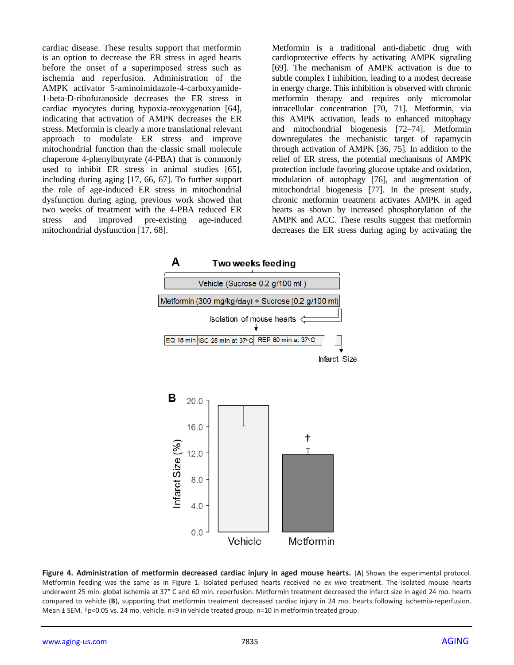cardiac disease. These results support that metformin is an option to decrease the ER stress in aged hearts before the onset of a superimposed stress such as ischemia and reperfusion. Administration of the AMPK activator 5-aminoimidazole-4-carboxyamide-1-beta-D-ribofuranoside decreases the ER stress in cardiac myocytes during hypoxia-reoxygenation [64], indicating that activation of AMPK decreases the ER stress. Metformin is clearly a more translational relevant approach to modulate ER stress and improve mitochondrial function than the classic small molecule chaperone 4-phenylbutyrate (4-PBA) that is commonly used to inhibit ER stress in animal studies [65], including during aging [17, 66, 67]. To further support the role of age-induced ER stress in mitochondrial dysfunction during aging, previous work showed that two weeks of treatment with the 4-PBA reduced ER stress and improved pre-existing age-induced mitochondrial dysfunction [17, 68].

Metformin is a traditional anti-diabetic drug with cardioprotective effects by activating AMPK signaling [69]. The mechanism of AMPK activation is due to subtle complex I inhibition, leading to a modest decrease in energy charge. This inhibition is observed with chronic metformin therapy and requires only micromolar intracellular concentration [70, 71]. Metformin, via this AMPK activation, leads to enhanced mitophagy and mitochondrial biogenesis [72–74]. Metformin downregulates the mechanistic target of rapamycin through activation of AMPK [36, 75]. In addition to the relief of ER stress, the potential mechanisms of AMPK protection include favoring glucose uptake and oxidation, modulation of autophagy [76], and augmentation of mitochondrial biogenesis [77]. In the present study, chronic metformin treatment activates AMPK in aged hearts as shown by increased phosphorylation of the AMPK and ACC. These results suggest that metformin decreases the ER stress during aging by activating the



**Figure 4. Administration of metformin decreased cardiac injury in aged mouse hearts.** (**A**) Shows the experimental protocol. Metformin feeding was the same as in Figure 1. Isolated perfused hearts received no *ex vivo* treatment. The isolated mouse hearts underwent 25 min. global ischemia at 37° C and 60 min. reperfusion. Metformin treatment decreased the infarct size in aged 24 mo. hearts compared to vehicle (**B**), supporting that metformin treatment decreased cardiac injury in 24 mo. hearts following ischemia-reperfusion. Mean ± SEM. +p<0.05 vs. 24 mo. vehicle. n=9 in vehicle treated group. n=10 in metformin treated group.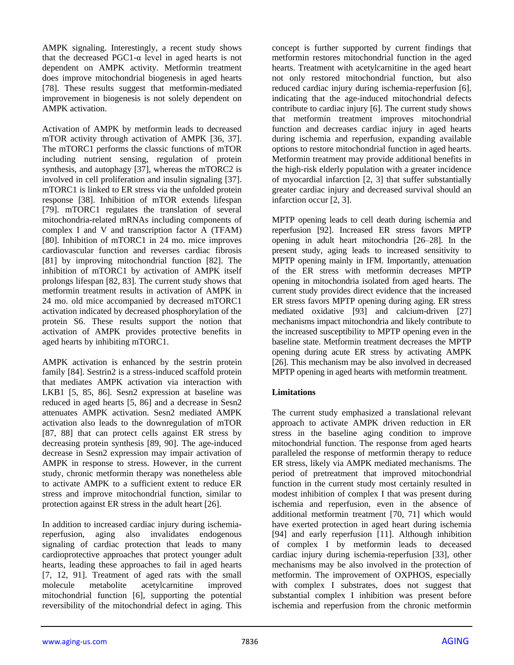AMPK signaling. Interestingly, a recent study shows that the decreased PGC1- $\alpha$  level in aged hearts is not dependent on AMPK activity. Metformin treatment does improve mitochondrial biogenesis in aged hearts [78]. These results suggest that metformin-mediated improvement in biogenesis is not solely dependent on AMPK activation.

Activation of AMPK by metformin leads to decreased mTOR activity through activation of AMPK [36, 37]. The mTORC1 performs the classic functions of mTOR including nutrient sensing, regulation of protein synthesis, and autophagy [37], whereas the mTORC2 is involved in cell proliferation and insulin signaling [37]. mTORC1 is linked to ER stress via the unfolded protein response [38]. Inhibition of mTOR extends lifespan [79]. mTORC1 regulates the translation of several mitochondria-related mRNAs including components of complex I and V and transcription factor A (TFAM) [80]. Inhibition of mTORC1 in 24 mo. mice improves cardiovascular function and reverses cardiac fibrosis [81] by improving mitochondrial function [82]. The inhibition of mTORC1 by activation of AMPK itself prolongs lifespan [82, 83]. The current study shows that metformin treatment results in activation of AMPK in 24 mo. old mice accompanied by decreased mTORC1 activation indicated by decreased phosphorylation of the protein S6. These results support the notion that activation of AMPK provides protective benefits in aged hearts by inhibiting mTORC1.

AMPK activation is enhanced by the sestrin protein family [84]. Sestrin2 is a stress-induced scaffold protein that mediates AMPK activation via interaction with LKB1 [5, 85, 86]. Sesn2 expression at baseline was reduced in aged hearts [5, 86] and a decrease in Sesn2 attenuates AMPK activation. Sesn2 mediated AMPK activation also leads to the downregulation of mTOR [87, 88] that can protect cells against ER stress by decreasing protein synthesis [89, 90]. The age-induced decrease in Sesn2 expression may impair activation of AMPK in response to stress. However, in the current study, chronic metformin therapy was nonetheless able to activate AMPK to a sufficient extent to reduce ER stress and improve mitochondrial function, similar to protection against ER stress in the adult heart [26].

In addition to increased cardiac injury during ischemiareperfusion, aging also invalidates endogenous signaling of cardiac protection that leads to many cardioprotective approaches that protect younger adult hearts, leading these approaches to fail in aged hearts [7, 12, 91]. Treatment of aged rats with the small molecule metabolite acetylcarnitine improved mitochondrial function [6], supporting the potential reversibility of the mitochondrial defect in aging. This concept is further supported by current findings that metformin restores mitochondrial function in the aged hearts. Treatment with acetylcarnitine in the aged heart not only restored mitochondrial function, but also reduced cardiac injury during ischemia-reperfusion [6], indicating that the age-induced mitochondrial defects contribute to cardiac injury [6]. The current study shows that metformin treatment improves mitochondrial function and decreases cardiac injury in aged hearts during ischemia and reperfusion, expanding available options to restore mitochondrial function in aged hearts. Metformin treatment may provide additional benefits in the high-risk elderly population with a greater incidence of myocardial infarction [2, 3] that suffer substantially greater cardiac injury and decreased survival should an infarction occur [2, 3].

MPTP opening leads to cell death during ischemia and reperfusion [92]. Increased ER stress favors MPTP opening in adult heart mitochondria [26–28]. In the present study, aging leads to increased sensitivity to MPTP opening mainly in IFM. Importantly, attenuation of the ER stress with metformin decreases MPTP opening in mitochondria isolated from aged hearts. The current study provides direct evidence that the increased ER stress favors MPTP opening during aging. ER stress mediated oxidative [93] and calcium-driven [27] mechanisms impact mitochondria and likely contribute to the increased susceptibility to MPTP opening even in the baseline state. Metformin treatment decreases the MPTP opening during acute ER stress by activating AMPK [26]. This mechanism may be also involved in decreased MPTP opening in aged hearts with metformin treatment.

## **Limitations**

The current study emphasized a translational relevant approach to activate AMPK driven reduction in ER stress in the baseline aging condition to improve mitochondrial function. The response from aged hearts paralleled the response of metformin therapy to reduce ER stress, likely via AMPK mediated mechanisms. The period of pretreatment that improved mitochondrial function in the current study most certainly resulted in modest inhibition of complex I that was present during ischemia and reperfusion, even in the absence of additional metformin treatment [70, 71] which would have exerted protection in aged heart during ischemia [94] and early reperfusion [11]. Although inhibition of complex I by metformin leads to deceased cardiac injury during ischemia-reperfusion [33], other mechanisms may be also involved in the protection of metformin. The improvement of OXPHOS, especially with complex I substrates, does not suggest that substantial complex I inhibition was present before ischemia and reperfusion from the chronic metformin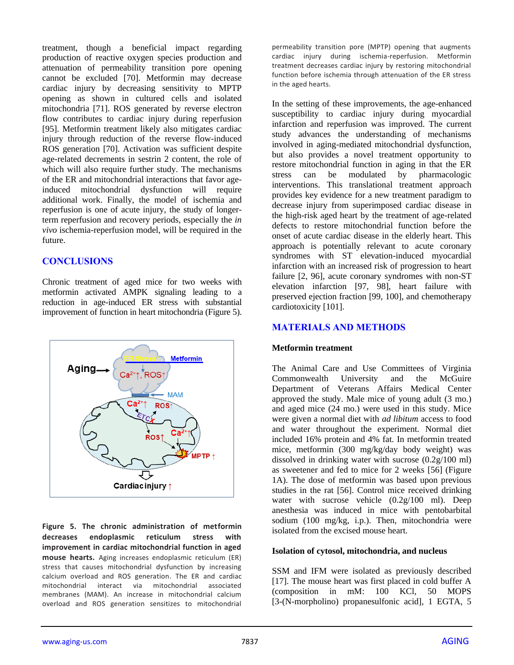treatment, though a beneficial impact regarding production of reactive oxygen species production and attenuation of permeability transition pore opening cannot be excluded [70]. Metformin may decrease cardiac injury by decreasing sensitivity to MPTP opening as shown in cultured cells and isolated mitochondria [71]. ROS generated by reverse electron flow contributes to cardiac injury during reperfusion [95]. Metformin treatment likely also mitigates cardiac injury through reduction of the reverse flow-induced ROS generation [70]. Activation was sufficient despite age-related decrements in sestrin 2 content, the role of which will also require further study. The mechanisms of the ER and mitochondrial interactions that favor ageinduced mitochondrial dysfunction will require additional work. Finally, the model of ischemia and reperfusion is one of acute injury, the study of longerterm reperfusion and recovery periods, especially the *in vivo* ischemia-reperfusion model, will be required in the future.

## **CONCLUSIONS**

Chronic treatment of aged mice for two weeks with metformin activated AMPK signaling leading to a reduction in age-induced ER stress with substantial improvement of function in heart mitochondria (Figure 5).



**Figure 5. The chronic administration of metformin decreases endoplasmic reticulum stress with improvement in cardiac mitochondrial function in aged mouse hearts.** Aging increases endoplasmic reticulum (ER) stress that causes mitochondrial dysfunction by increasing calcium overload and ROS generation. The ER and cardiac mitochondrial interact via mitochondrial associated membranes (MAM). An increase in mitochondrial calcium overload and ROS generation sensitizes to mitochondrial

permeability transition pore (MPTP) opening that augments cardiac injury during ischemia-reperfusion. Metformin treatment decreases cardiac injury by restoring mitochondrial function before ischemia through attenuation of the ER stress in the aged hearts.

In the setting of these improvements, the age-enhanced susceptibility to cardiac injury during myocardial infarction and reperfusion was improved. The current study advances the understanding of mechanisms involved in aging-mediated mitochondrial dysfunction, but also provides a novel treatment opportunity to restore mitochondrial function in aging in that the ER stress can be modulated by pharmacologic interventions. This translational treatment approach provides key evidence for a new treatment paradigm to decrease injury from superimposed cardiac disease in the high-risk aged heart by the treatment of age-related defects to restore mitochondrial function before the onset of acute cardiac disease in the elderly heart. This approach is potentially relevant to acute coronary syndromes with ST elevation-induced myocardial infarction with an increased risk of progression to heart failure [2, 96], acute coronary syndromes with non-ST elevation infarction [97, 98], heart failure with preserved ejection fraction [99, 100], and chemotherapy cardiotoxicity [101].

## **MATERIALS AND METHODS**

### **Metformin treatment**

The Animal Care and Use Committees of Virginia Commonwealth University and the McGuire Department of Veterans Affairs Medical Center approved the study. Male mice of young adult (3 mo.) and aged mice (24 mo.) were used in this study. Mice were given a normal diet with *ad libitum* access to food and water throughout the experiment. Normal diet included 16% protein and 4% fat. In metformin treated mice, metformin (300 mg/kg/day body weight) was dissolved in drinking water with sucrose (0.2g/100 ml) as sweetener and fed to mice for 2 weeks [56] (Figure 1A). The dose of metformin was based upon previous studies in the rat [56]. Control mice received drinking water with sucrose vehicle (0.2g/100 ml). Deep anesthesia was induced in mice with pentobarbital sodium (100 mg/kg, i.p.). Then, mitochondria were isolated from the excised mouse heart.

#### **Isolation of cytosol, mitochondria, and nucleus**

SSM and IFM were isolated as previously described [17]. The mouse heart was first placed in cold buffer A (composition in mM: 100 KCl, 50 MOPS [3-(N-morpholino) propanesulfonic acid], 1 EGTA, 5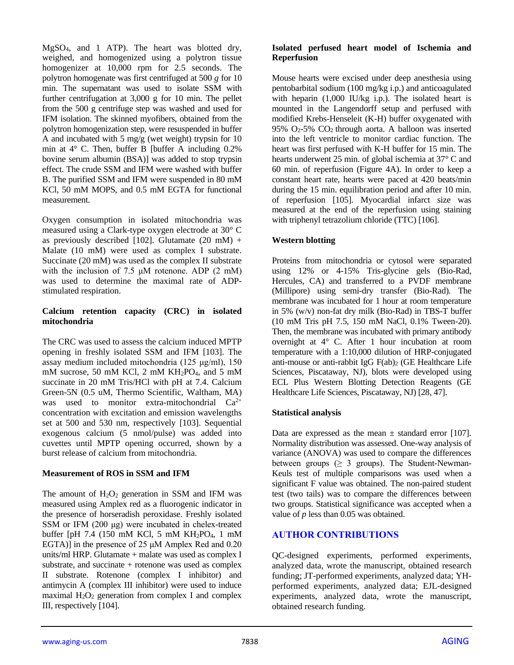MgSO4, and 1 ATP). The heart was blotted dry, weighed, and homogenized using a polytron tissue homogenizer at 10,000 rpm for 2.5 seconds. The polytron homogenate was first centrifuged at 500 *g* for 10 min. The supernatant was used to isolate SSM with further centrifugation at 3,000 g for 10 min. The pellet from the 500 g centrifuge step was washed and used for IFM isolation. The skinned myofibers, obtained from the polytron homogenization step, were resuspended in buffer A and incubated with 5 mg/g (wet weight) trypsin for 10 min at 4° C. Then, buffer B [buffer A including 0.2% bovine serum albumin (BSA)] was added to stop trypsin effect. The crude SSM and IFM were washed with buffer B. The purified SSM and IFM were suspended in 80 mM KCl, 50 mM MOPS, and 0.5 mM EGTA for functional measurement.

Oxygen consumption in isolated mitochondria was measured using a Clark-type oxygen electrode at 30° C as previously described [102]. Glutamate  $(20 \text{ mM})$  + Malate (10 mM) were used as complex I substrate. Succinate (20 mM) was used as the complex II substrate with the inclusion of 7.5  $\mu$ M rotenone. ADP (2 mM) was used to determine the maximal rate of ADPstimulated respiration.

### **Calcium retention capacity (CRC) in isolated mitochondria**

The CRC was used to assess the calcium induced MPTP opening in freshly isolated SSM and IFM [103]. The assay medium included mitochondria (125 μg/ml), 150 mM sucrose, 50 mM KCl, 2 mM KH<sub>2</sub>PO<sub>4</sub>, and 5 mM succinate in 20 mM Tris/HCl with pH at 7.4. Calcium Green-5N (0.5 uM, Thermo Scientific, Waltham, MA) was used to monitor extra-mitochondrial  $Ca^{2+}$ concentration with excitation and emission wavelengths set at 500 and 530 nm, respectively [103]. Sequential exogenous calcium (5 nmol/pulse) was added into cuvettes until MPTP opening occurred, shown by a burst release of calcium from mitochondria.

### **Measurement of ROS in SSM and IFM**

The amount of  $H_2O_2$  generation in SSM and IFM was measured using Amplex red as a fluorogenic indicator in the presence of horseradish peroxidase. Freshly isolated SSM or IFM (200 μg) were incubated in chelex-treated buffer [pH 7.4 (150 mM KCl, 5 mM KH<sub>2</sub>PO<sub>4</sub>, 1 mM EGTA)] in the presence of 25 μM Amplex Red and 0.20 units/ml HRP. Glutamate + malate was used as complex I substrate, and succinate + rotenone was used as complex II substrate. Rotenone (complex I inhibitor) and antimycin A (complex III inhibitor) were used to induce maximal  $H_2O_2$  generation from complex I and complex III, respectively [104].

### **Isolated perfused heart model of Ischemia and Reperfusion**

Mouse hearts were excised under deep anesthesia using pentobarbital sodium (100 mg/kg i.p.) and anticoagulated with heparin (1,000 IU/kg i.p.). The isolated heart is mounted in the Langendorff setup and perfused with modified Krebs-Henseleit (K-H) buffer oxygenated with 95%  $O_2$ -5%  $CO_2$  through aorta. A balloon was inserted into the left ventricle to monitor cardiac function. The heart was first perfused with K-H buffer for 15 min. The hearts underwent 25 min. of global ischemia at 37° C and 60 min. of reperfusion (Figure 4A). In order to keep a constant heart rate, hearts were paced at 420 beats/min during the 15 min. equilibration period and after 10 min. of reperfusion [105]. Myocardial infarct size was measured at the end of the reperfusion using staining with triphenyl tetrazolium chloride (TTC) [106].

## **Western blotting**

Proteins from mitochondria or cytosol were separated using 12% or 4-15% Tris-glycine gels (Bio-Rad, Hercules, CA) and transferred to a PVDF membrane (Millipore) using semi-dry transfer (Bio-Rad). The membrane was incubated for 1 hour at room temperature in 5% (w/v) non-fat dry milk (Bio-Rad) in TBS-T buffer (10 mM Tris pH 7.5, 150 mM NaCl, 0.1% Tween-20). Then, the membrane was incubated with primary antibody overnight at 4° C. After 1 hour incubation at room temperature with a 1:10,000 dilution of HRP-conjugated anti-mouse or anti-rabbit IgG  $F(ab)_2$  (GE Healthcare Life Sciences, Piscataway, NJ), blots were developed using ECL Plus Western Blotting Detection Reagents (GE Healthcare Life Sciences, Piscataway, NJ) [28, 47].

## **Statistical analysis**

Data are expressed as the mean  $\pm$  standard error [107]. Normality distribution was assessed. One-way analysis of variance (ANOVA) was used to compare the differences between groups ( $\geq$  3 groups). The Student-Newman-Keuls test of multiple comparisons was used when a significant F value was obtained. The non-paired student test (two tails) was to compare the differences between two groups. Statistical significance was accepted when a value of *p* less than 0.05 was obtained.

## **AUTHOR CONTRIBUTIONS**

QC-designed experiments, performed experiments, analyzed data, wrote the manuscript, obtained research funding; JT-performed experiments, analyzed data; YHperformed experiments, analyzed data; EJL-designed experiments, analyzed data, wrote the manuscript, obtained research funding.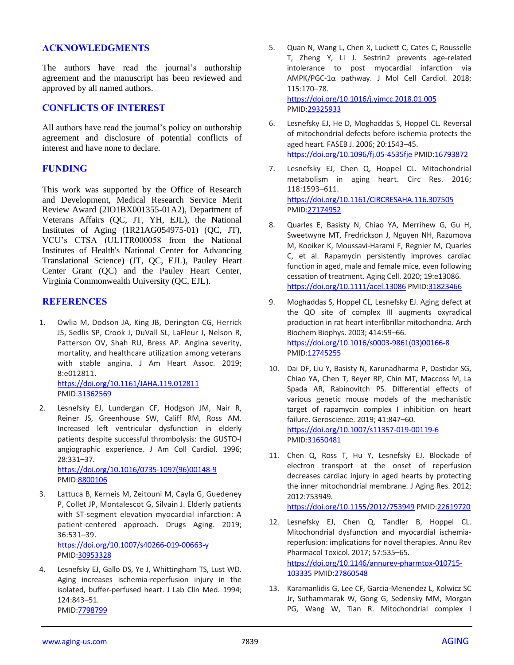#### **ACKNOWLEDGMENTS**

The authors have read the journal's authorship agreement and the manuscript has been reviewed and approved by all named authors.

#### **CONFLICTS OF INTEREST**

All authors have read the journal's policy on authorship agreement and disclosure of potential conflicts of interest and have none to declare.

## **FUNDING**

This work was supported by the Office of Research and Development, Medical Research Service Merit Review Award (2IO1BX001355-01A2), Department of Veterans Affairs (QC, JT, YH, EJL), the National Institutes of Aging (1R21AG054975-01) (QC, JT), VCU's CTSA (UL1TR000058 from the National Institutes of Health's National Center for Advancing Translational Science) (JT, QC, EJL), Pauley Heart Center Grant (QC) and the Pauley Heart Center, Virginia Commonwealth University (QC, EJL).

### **REFERENCES**

1. Owlia M, Dodson JA, King JB, Derington CG, Herrick JS, Sedlis SP, Crook J, DuVall SL, LaFleur J, Nelson R, Patterson OV, Shah RU, Bress AP. Angina severity, mortality, and healthcare utilization among veterans with stable angina. J Am Heart Assoc. 2019; 8:e012811. <https://doi.org/10.1161/JAHA.119.012811>

PMID[:31362569](https://pubmed.ncbi.nlm.nih.gov/31362569)

2. Lesnefsky EJ, Lundergan CF, Hodgson JM, Nair R, Reiner JS, Greenhouse SW, Califf RM, Ross AM. Increased left ventricular dysfunction in elderly patients despite successful thrombolysis: the GUSTO-I angiographic experience. J Am Coll Cardiol. 1996; 28:331–37. [https://doi.org/10.1016/0735-1097\(96\)00148-9](https://doi.org/10.1016/0735-1097(96)00148-9)

PMID[:8800106](https://pubmed.ncbi.nlm.nih.gov/8800106)

- 3. Lattuca B, Kerneis M, Zeitouni M, Cayla G, Guedeney P, Collet JP, Montalescot G, Silvain J. Elderly patients with ST-segment elevation myocardial infarction: A patient-centered approach. Drugs Aging. 2019; 36:531–39. <https://doi.org/10.1007/s40266-019-00663-y> PMID[:30953328](https://pubmed.ncbi.nlm.nih.gov/30953328)
- 4. Lesnefsky EJ, Gallo DS, Ye J, Whittingham TS, Lust WD. Aging increases ischemia-reperfusion injury in the isolated, buffer-perfused heart. J Lab Clin Med. 1994; 124:843–51. PMID[:7798799](https://pubmed.ncbi.nlm.nih.gov/7798799)
- 5. Quan N, Wang L, Chen X, Luckett C, Cates C, Rousselle T, Zheng Y, Li J. Sestrin2 prevents age-related intolerance to post myocardial infarction via AMPK/PGC-1α pathway. J Mol Cell Cardiol. 2018; 115:170–78. <https://doi.org/10.1016/j.yjmcc.2018.01.005> PMI[D:29325933](https://pubmed.ncbi.nlm.nih.gov/29325933)
- 6. Lesnefsky EJ, He D, Moghaddas S, Hoppel CL. Reversal of mitochondrial defects before ischemia protects the aged heart. FASEB J. 2006; 20:1543–45. <https://doi.org/10.1096/fj.05-4535fje> PMID[:16793872](https://pubmed.ncbi.nlm.nih.gov/16793872)
- 7. Lesnefsky EJ, Chen Q, Hoppel CL. Mitochondrial metabolism in aging heart. Circ Res. 2016; 118:1593–611. <https://doi.org/10.1161/CIRCRESAHA.116.307505> PMI[D:27174952](https://pubmed.ncbi.nlm.nih.gov/27174952)
- 8. Quarles E, Basisty N, Chiao YA, Merrihew G, Gu H, Sweetwyne MT, Fredrickson J, Nguyen NH, Razumova M, Kooiker K, Moussavi-Harami F, Regnier M, Quarles C, et al. Rapamycin persistently improves cardiac function in aged, male and female mice, even following cessation of treatment. Aging Cell. 2020; 19:e13086. <https://doi.org/10.1111/acel.13086> PMI[D:31823466](https://pubmed.ncbi.nlm.nih.gov/31823466)
- 9. Moghaddas S, Hoppel CL, Lesnefsky EJ. Aging defect at the QO site of complex III augments oxyradical production in rat heart interfibrillar mitochondria. Arch Biochem Biophys. 2003; 414:59–66. [https://doi.org/10.1016/s0003-9861\(03\)00166-8](https://doi.org/10.1016/s0003-9861(03)00166-8) PMI[D:12745255](https://pubmed.ncbi.nlm.nih.gov/12745255)
- 10. Dai DF, Liu Y, Basisty N, Karunadharma P, Dastidar SG, Chiao YA, Chen T, Beyer RP, Chin MT, Maccoss M, La Spada AR, Rabinovitch PS. Differential effects of various genetic mouse models of the mechanistic target of rapamycin complex I inhibition on heart failure. Geroscience. 2019; 41:847–60. <https://doi.org/10.1007/s11357-019-00119-6> PMI[D:31650481](https://pubmed.ncbi.nlm.nih.gov/31650481)
- 11. Chen Q, Ross T, Hu Y, Lesnefsky EJ. Blockade of electron transport at the onset of reperfusion decreases cardiac injury in aged hearts by protecting the inner mitochondrial membrane. J Aging Res. 2012; 2012:753949. <https://doi.org/10.1155/2012/753949> PMID[:22619720](https://pubmed.ncbi.nlm.nih.gov/22619720)
- 12. Lesnefsky EJ, Chen Q, Tandler B, Hoppel CL. Mitochondrial dysfunction and myocardial ischemiareperfusion: implications for novel therapies. Annu Rev Pharmacol Toxicol. 2017; 57:535–65. [https://doi.org/10.1146/annurev-pharmtox-010715-](https://doi.org/10.1146/annurev-pharmtox-010715-103335) [103335](https://doi.org/10.1146/annurev-pharmtox-010715-103335) PMI[D:27860548](https://pubmed.ncbi.nlm.nih.gov/27860548)
- 13. Karamanlidis G, Lee CF, Garcia-Menendez L, Kolwicz SC Jr, Suthammarak W, Gong G, Sedensky MM, Morgan PG, Wang W, Tian R. Mitochondrial complex I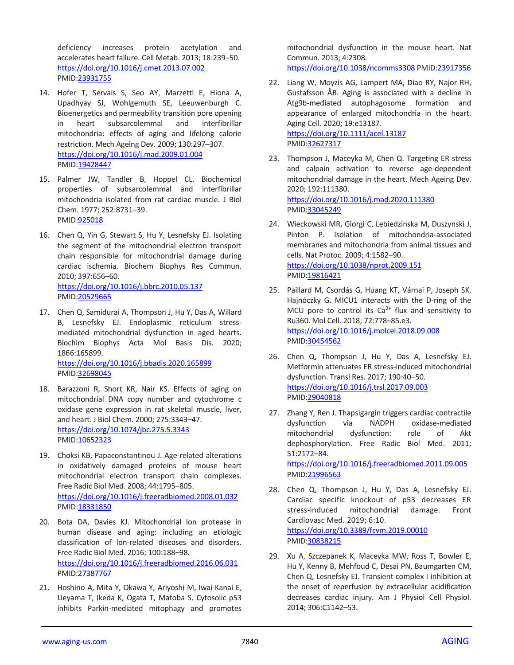deficiency increases protein acetylation and accelerates heart failure. Cell Metab. 2013; 18:239–50. <https://doi.org/10.1016/j.cmet.2013.07.002> PMID[:23931755](https://pubmed.ncbi.nlm.nih.gov/23931755)

- 14. Hofer T, Servais S, Seo AY, Marzetti E, Hiona A, Upadhyay SJ, Wohlgemuth SE, Leeuwenburgh C. Bioenergetics and permeability transition pore opening in heart subsarcolemmal and interfibrillar mitochondria: effects of aging and lifelong calorie restriction. Mech Ageing Dev. 2009; 130:297–307. <https://doi.org/10.1016/j.mad.2009.01.004> PMID[:19428447](https://pubmed.ncbi.nlm.nih.gov/19428447)
- 15. Palmer JW, Tandler B, Hoppel CL. Biochemical properties of subsarcolemmal and interfibrillar mitochondria isolated from rat cardiac muscle. J Biol Chem. 1977; 252:8731–39. PMID[:925018](https://pubmed.ncbi.nlm.nih.gov/925018)
- 16. Chen Q, Yin G, Stewart S, Hu Y, Lesnefsky EJ. Isolating the segment of the mitochondrial electron transport chain responsible for mitochondrial damage during cardiac ischemia. Biochem Biophys Res Commun. 2010; 397:656–60. <https://doi.org/10.1016/j.bbrc.2010.05.137> PMID[:20529665](https://pubmed.ncbi.nlm.nih.gov/20529665)
- 17. Chen Q, Samidurai A, Thompson J, Hu Y, Das A, Willard B, Lesnefsky EJ. Endoplasmic reticulum stressmediated mitochondrial dysfunction in aged hearts. Biochim Biophys Acta Mol Basis Dis. 2020; 1866:165899. <https://doi.org/10.1016/j.bbadis.2020.165899> PMID[:32698045](https://pubmed.ncbi.nlm.nih.gov/32698045)
- 18. Barazzoni R, Short KR, Nair KS. Effects of aging on mitochondrial DNA copy number and cytochrome c oxidase gene expression in rat skeletal muscle, liver, and heart. J Biol Chem. 2000; 275:3343–47. <https://doi.org/10.1074/jbc.275.5.3343> PMID[:10652323](https://pubmed.ncbi.nlm.nih.gov/10652323)
- 19. Choksi KB, Papaconstantinou J. Age-related alterations in oxidatively damaged proteins of mouse heart mitochondrial electron transport chain complexes. Free Radic Biol Med. 2008; 44:1795–805. <https://doi.org/10.1016/j.freeradbiomed.2008.01.032> PMID[:18331850](https://pubmed.ncbi.nlm.nih.gov/18331850)
- 20. Bota DA, Davies KJ. Mitochondrial lon protease in human disease and aging: including an etiologic classification of lon-related diseases and disorders. Free Radic Biol Med. 2016; 100:188–98. <https://doi.org/10.1016/j.freeradbiomed.2016.06.031> PMID[:27387767](https://pubmed.ncbi.nlm.nih.gov/27387767)
- 21. Hoshino A, Mita Y, Okawa Y, Ariyoshi M, Iwai-Kanai E, Ueyama T, Ikeda K, Ogata T, Matoba S. Cytosolic p53 inhibits Parkin-mediated mitophagy and promotes

mitochondrial dysfunction in the mouse heart. Nat Commun. 2013; 4:2308. <https://doi.org/10.1038/ncomms3308> PMID[:23917356](https://pubmed.ncbi.nlm.nih.gov/23917356)

- 22. Liang W, Moyzis AG, Lampert MA, Diao RY, Najor RH, Gustafsson ÅB. Aging is associated with a decline in Atg9b-mediated autophagosome formation and appearance of enlarged mitochondria in the heart. Aging Cell. 2020; 19:e13187. <https://doi.org/10.1111/acel.13187> PMI[D:32627317](https://pubmed.ncbi.nlm.nih.gov/32627317)
- 23. Thompson J, Maceyka M, Chen Q. Targeting ER stress and calpain activation to reverse age-dependent mitochondrial damage in the heart. Mech Ageing Dev. 2020; 192:111380. <https://doi.org/10.1016/j.mad.2020.111380> PMI[D:33045249](https://pubmed.ncbi.nlm.nih.gov/33045249)
- 24. Wieckowski MR, Giorgi C, Lebiedzinska M, Duszynski J, Pinton P. Isolation of mitochondria-associated membranes and mitochondria from animal tissues and cells. Nat Protoc. 2009; 4:1582–90. <https://doi.org/10.1038/nprot.2009.151> PMI[D:19816421](https://pubmed.ncbi.nlm.nih.gov/19816421)
- 25. Paillard M, Csordás G, Huang KT, Várnai P, Joseph SK, Hajnóczky G. MICU1 interacts with the D-ring of the MCU pore to control its  $Ca^{2+}$  flux and sensitivity to Ru360. Mol Cell. 2018; 72:778–85.e3. <https://doi.org/10.1016/j.molcel.2018.09.008> PMI[D:30454562](https://pubmed.ncbi.nlm.nih.gov/30454562)
- 26. Chen Q, Thompson J, Hu Y, Das A, Lesnefsky EJ. Metformin attenuates ER stress-induced mitochondrial dysfunction. Transl Res. 2017; 190:40–50. <https://doi.org/10.1016/j.trsl.2017.09.003> PMI[D:29040818](https://pubmed.ncbi.nlm.nih.gov/29040818)
- 27. Zhang Y, Ren J. Thapsigargin triggers cardiac contractile dysfunction via NADPH oxidase-mediated mitochondrial dysfunction: role of Akt dephosphorylation. Free Radic Biol Med. 2011; 51:2172–84. <https://doi.org/10.1016/j.freeradbiomed.2011.09.005> PMI[D:21996563](https://pubmed.ncbi.nlm.nih.gov/21996563)
- 28. Chen Q, Thompson J, Hu Y, Das A, Lesnefsky EJ. Cardiac specific knockout of p53 decreases ER stress-induced mitochondrial damage. Front Cardiovasc Med. 2019; 6:10. <https://doi.org/10.3389/fcvm.2019.00010> PMI[D:30838215](https://pubmed.ncbi.nlm.nih.gov/30838215)
- 29. Xu A, Szczepanek K, Maceyka MW, Ross T, Bowler E, Hu Y, Kenny B, Mehfoud C, Desai PN, Baumgarten CM, Chen Q, Lesnefsky EJ. Transient complex I inhibition at the onset of reperfusion by extracellular acidification decreases cardiac injury. Am J Physiol Cell Physiol. 2014; 306:C1142–53.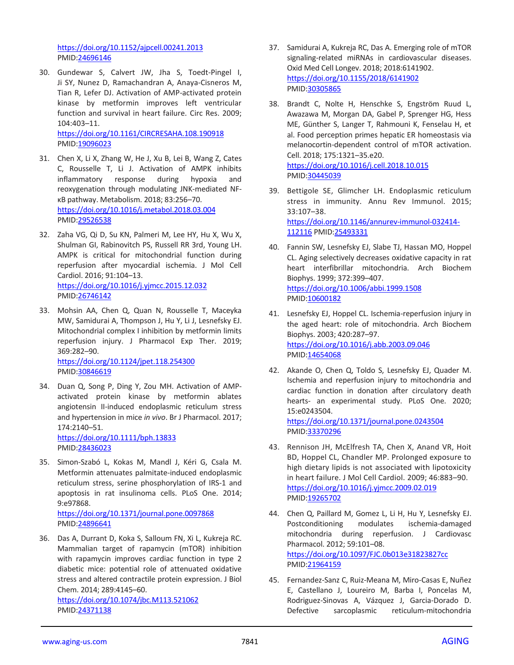<https://doi.org/10.1152/ajpcell.00241.2013> PMID[:24696146](https://pubmed.ncbi.nlm.nih.gov/24696146)

30. Gundewar S, Calvert JW, Jha S, Toedt-Pingel I, Ji SY, Nunez D, Ramachandran A, Anaya-Cisneros M, Tian R, Lefer DJ. Activation of AMP-activated protein kinase by metformin improves left ventricular function and survival in heart failure. Circ Res. 2009; 104:403–11. <https://doi.org/10.1161/CIRCRESAHA.108.190918>

PMID[:19096023](https://pubmed.ncbi.nlm.nih.gov/19096023)

- 31. Chen X, Li X, Zhang W, He J, Xu B, Lei B, Wang Z, Cates C, Rousselle T, Li J. Activation of AMPK inhibits inflammatory response during hypoxia and reoxygenation through modulating JNK-mediated NFκB pathway. Metabolism. 2018; 83:256–70. <https://doi.org/10.1016/j.metabol.2018.03.004> PMID[:29526538](https://pubmed.ncbi.nlm.nih.gov/29526538)
- 32. Zaha VG, Qi D, Su KN, Palmeri M, Lee HY, Hu X, Wu X, Shulman GI, Rabinovitch PS, Russell RR 3rd, Young LH. AMPK is critical for mitochondrial function during reperfusion after myocardial ischemia. J Mol Cell Cardiol. 2016; 91:104–13. <https://doi.org/10.1016/j.yjmcc.2015.12.032> PMID[:26746142](https://pubmed.ncbi.nlm.nih.gov/26746142)
- 33. Mohsin AA, Chen Q, Quan N, Rousselle T, Maceyka MW, Samidurai A, Thompson J, Hu Y, Li J, Lesnefsky EJ. Mitochondrial complex I inhibition by metformin limits reperfusion injury. J Pharmacol Exp Ther. 2019; 369:282–90. <https://doi.org/10.1124/jpet.118.254300> PMID[:30846619](https://pubmed.ncbi.nlm.nih.gov/30846619)
- 34. Duan Q, Song P, Ding Y, Zou MH. Activation of AMPactivated protein kinase by metformin ablates angiotensin II-induced endoplasmic reticulum stress and hypertension in mice *in vivo*. Br J Pharmacol. 2017; 174:2140–51. <https://doi.org/10.1111/bph.13833>

PMID[:28436023](https://pubmed.ncbi.nlm.nih.gov/28436023)

35. Simon-Szabó L, Kokas M, Mandl J, Kéri G, Csala M. Metformin attenuates palmitate-induced endoplasmic reticulum stress, serine phosphorylation of IRS-1 and apoptosis in rat insulinoma cells. PLoS One. 2014; 9:e97868.

<https://doi.org/10.1371/journal.pone.0097868> PMID[:24896641](https://pubmed.ncbi.nlm.nih.gov/24896641)

36. Das A, Durrant D, Koka S, Salloum FN, Xi L, Kukreja RC. Mammalian target of rapamycin (mTOR) inhibition with rapamycin improves cardiac function in type 2 diabetic mice: potential role of attenuated oxidative stress and altered contractile protein expression. J Biol Chem. 2014; 289:4145–60.

<https://doi.org/10.1074/jbc.M113.521062> PMID[:24371138](https://pubmed.ncbi.nlm.nih.gov/24371138)

- 37. Samidurai A, Kukreja RC, Das A. Emerging role of mTOR signaling-related miRNAs in cardiovascular diseases. Oxid Med Cell Longev. 2018; 2018:6141902. <https://doi.org/10.1155/2018/6141902> PMI[D:30305865](https://pubmed.ncbi.nlm.nih.gov/30305865)
- 38. Brandt C, Nolte H, Henschke S, Engström Ruud L, Awazawa M, Morgan DA, Gabel P, Sprenger HG, Hess ME, Günther S, Langer T, Rahmouni K, Fenselau H, et al. Food perception primes hepatic ER homeostasis via melanocortin-dependent control of mTOR activation. Cell. 2018; 175:1321–35.e20. <https://doi.org/10.1016/j.cell.2018.10.015> PMI[D:30445039](https://pubmed.ncbi.nlm.nih.gov/30445039)
- 39. Bettigole SE, Glimcher LH. Endoplasmic reticulum stress in immunity. Annu Rev Immunol. 2015; 33:107–38. [https://doi.org/10.1146/annurev-immunol-032414-](https://doi.org/10.1146/annurev-immunol-032414-112116) [112116](https://doi.org/10.1146/annurev-immunol-032414-112116) PMI[D:25493331](https://pubmed.ncbi.nlm.nih.gov/25493331)
- 40. Fannin SW, Lesnefsky EJ, Slabe TJ, Hassan MO, Hoppel CL. Aging selectively decreases oxidative capacity in rat heart interfibrillar mitochondria. Arch Biochem Biophys. 1999; 372:399–407. <https://doi.org/10.1006/abbi.1999.1508> PMI[D:10600182](https://pubmed.ncbi.nlm.nih.gov/10600182)
- 41. Lesnefsky EJ, Hoppel CL. Ischemia-reperfusion injury in the aged heart: role of mitochondria. Arch Biochem Biophys. 2003; 420:287–97. <https://doi.org/10.1016/j.abb.2003.09.046> PMI[D:14654068](https://pubmed.ncbi.nlm.nih.gov/14654068)
- 42. Akande O, Chen Q, Toldo S, Lesnefsky EJ, Quader M. Ischemia and reperfusion injury to mitochondria and cardiac function in donation after circulatory death hearts- an experimental study. PLoS One. 2020; 15:e0243504.

<https://doi.org/10.1371/journal.pone.0243504> PMI[D:33370296](https://pubmed.ncbi.nlm.nih.gov/33370296)

- 43. Rennison JH, McElfresh TA, Chen X, Anand VR, Hoit BD, Hoppel CL, Chandler MP. Prolonged exposure to high dietary lipids is not associated with lipotoxicity in heart failure. J Mol Cell Cardiol. 2009; 46:883–90. <https://doi.org/10.1016/j.yjmcc.2009.02.019> PMI[D:19265702](https://pubmed.ncbi.nlm.nih.gov/19265702)
- 44. Chen Q, Paillard M, Gomez L, Li H, Hu Y, Lesnefsky EJ. Postconditioning modulates ischemia-damaged mitochondria during reperfusion. J Cardiovasc Pharmacol. 2012; 59:101–08. <https://doi.org/10.1097/FJC.0b013e31823827cc> PMI[D:21964159](https://pubmed.ncbi.nlm.nih.gov/21964159)
- 45. Fernandez-Sanz C, Ruiz-Meana M, Miro-Casas E, Nuñez E, Castellano J, Loureiro M, Barba I, Poncelas M, Rodriguez-Sinovas A, Vázquez J, Garcia-Dorado D. Defective sarcoplasmic reticulum-mitochondria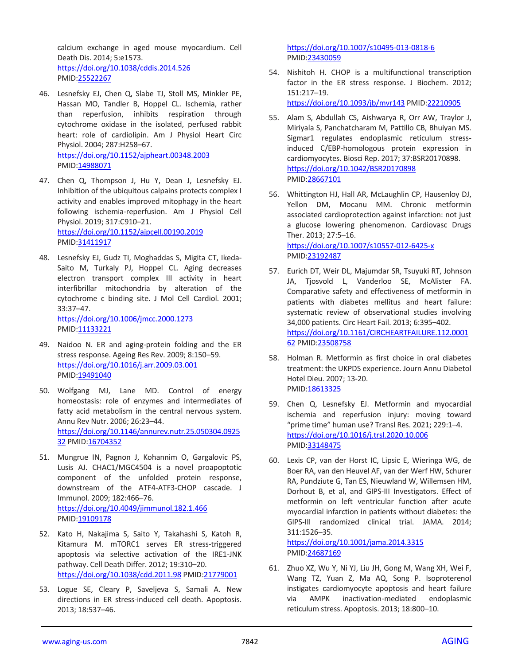calcium exchange in aged mouse myocardium. Cell Death Dis. 2014; 5:e1573. <https://doi.org/10.1038/cddis.2014.526> PMID[:25522267](https://pubmed.ncbi.nlm.nih.gov/25522267)

- 46. Lesnefsky EJ, Chen Q, Slabe TJ, Stoll MS, Minkler PE, Hassan MO, Tandler B, Hoppel CL. Ischemia, rather than reperfusion, inhibits respiration through cytochrome oxidase in the isolated, perfused rabbit heart: role of cardiolipin. Am J Physiol Heart Circ Physiol. 2004; 287:H258–67. <https://doi.org/10.1152/ajpheart.00348.2003> PMID[:14988071](https://pubmed.ncbi.nlm.nih.gov/14988071)
- 47. Chen Q, Thompson J, Hu Y, Dean J, Lesnefsky EJ. Inhibition of the ubiquitous calpains protects complex I activity and enables improved mitophagy in the heart following ischemia-reperfusion. Am J Physiol Cell Physiol. 2019; 317:C910–21. <https://doi.org/10.1152/ajpcell.00190.2019> PMID[:31411917](https://pubmed.ncbi.nlm.nih.gov/31411917)
- 48. Lesnefsky EJ, Gudz TI, Moghaddas S, Migita CT, Ikeda-Saito M, Turkaly PJ, Hoppel CL. Aging decreases electron transport complex III activity in heart interfibrillar mitochondria by alteration of the cytochrome c binding site. J Mol Cell Cardiol. 2001; 33:37–47. <https://doi.org/10.1006/jmcc.2000.1273> PMID[:11133221](https://pubmed.ncbi.nlm.nih.gov/11133221)
- 49. Naidoo N. ER and aging-protein folding and the ER stress response. Ageing Res Rev. 2009; 8:150–59. <https://doi.org/10.1016/j.arr.2009.03.001> PMID[:19491040](https://pubmed.ncbi.nlm.nih.gov/19491040)
- 50. Wolfgang MJ, Lane MD. Control of energy homeostasis: role of enzymes and intermediates of fatty acid metabolism in the central nervous system. Annu Rev Nutr. 2006; 26:23–44. [https://doi.org/10.1146/annurev.nutr.25.050304.0925](https://doi.org/10.1146/annurev.nutr.25.050304.092532) [32](https://doi.org/10.1146/annurev.nutr.25.050304.092532) PMID[:16704352](https://pubmed.ncbi.nlm.nih.gov/16704352)
- 51. Mungrue IN, Pagnon J, Kohannim O, Gargalovic PS, Lusis AJ. CHAC1/MGC4504 is a novel proapoptotic component of the unfolded protein response, downstream of the ATF4-ATF3-CHOP cascade. J Immunol. 2009; 182:466–76. <https://doi.org/10.4049/jimmunol.182.1.466> PMID[:19109178](https://pubmed.ncbi.nlm.nih.gov/19109178)
- 52. Kato H, Nakajima S, Saito Y, Takahashi S, Katoh R, Kitamura M. mTORC1 serves ER stress-triggered apoptosis via selective activation of the IRE1-JNK pathway. Cell Death Differ. 2012; 19:310–20. <https://doi.org/10.1038/cdd.2011.98> PMID[:21779001](https://pubmed.ncbi.nlm.nih.gov/21779001)
- 53. Logue SE, Cleary P, Saveljeva S, Samali A. New directions in ER stress-induced cell death. Apoptosis. 2013; 18:537–46.

<https://doi.org/10.1007/s10495-013-0818-6> PMI[D:23430059](https://pubmed.ncbi.nlm.nih.gov/23430059)

54. Nishitoh H. CHOP is a multifunctional transcription factor in the ER stress response. J Biochem. 2012; 151:217–19.

<https://doi.org/10.1093/jb/mvr143> PMID[:22210905](https://pubmed.ncbi.nlm.nih.gov/22210905)

- 55. Alam S, Abdullah CS, Aishwarya R, Orr AW, Traylor J, Miriyala S, Panchatcharam M, Pattillo CB, Bhuiyan MS. Sigmar1 regulates endoplasmic reticulum stressinduced C/EBP-homologous protein expression in cardiomyocytes. Biosci Rep. 2017; 37:BSR20170898. <https://doi.org/10.1042/BSR20170898> PMI[D:28667101](https://pubmed.ncbi.nlm.nih.gov/28667101)
- 56. Whittington HJ, Hall AR, McLaughlin CP, Hausenloy DJ, Yellon DM, Mocanu MM. Chronic metformin associated cardioprotection against infarction: not just a glucose lowering phenomenon. Cardiovasc Drugs Ther. 2013; 27:5–16. <https://doi.org/10.1007/s10557-012-6425-x> PMI[D:23192487](https://pubmed.ncbi.nlm.nih.gov/23192487)
- 57. Eurich DT, Weir DL, Majumdar SR, Tsuyuki RT, Johnson JA, Tjosvold L, Vanderloo SE, McAlister FA. Comparative safety and effectiveness of metformin in patients with diabetes mellitus and heart failure: systematic review of observational studies involving 34,000 patients. Circ Heart Fail. 2013; 6:395–402. [https://doi.org/10.1161/CIRCHEARTFAILURE.112.0001](https://doi.org/10.1161/CIRCHEARTFAILURE.112.000162) [62](https://doi.org/10.1161/CIRCHEARTFAILURE.112.000162) PMI[D:23508758](https://pubmed.ncbi.nlm.nih.gov/23508758)
- 58. Holman R. Metformin as first choice in oral diabetes treatment: the UKPDS experience. Journ Annu Diabetol Hotel Dieu. 2007; 13-20. PMI[D:18613325](https://pubmed.ncbi.nlm.nih.gov/18613325)
- 59. Chen Q, Lesnefsky EJ. Metformin and myocardial ischemia and reperfusion injury: moving toward "prime time" human use? Transl Res. 2021; 229:1–4. <https://doi.org/10.1016/j.trsl.2020.10.006> PMI[D:33148475](https://pubmed.ncbi.nlm.nih.gov/33148475)
- 60. Lexis CP, van der Horst IC, Lipsic E, Wieringa WG, de Boer RA, van den Heuvel AF, van der Werf HW, Schurer RA, Pundziute G, Tan ES, Nieuwland W, Willemsen HM, Dorhout B, et al, and GIPS-III Investigators. Effect of metformin on left ventricular function after acute myocardial infarction in patients without diabetes: the GIPS-III randomized clinical trial. JAMA. 2014; 311:1526–35.

<https://doi.org/10.1001/jama.2014.3315> PMI[D:24687169](https://pubmed.ncbi.nlm.nih.gov/24687169)

61. Zhuo XZ, Wu Y, Ni YJ, Liu JH, Gong M, Wang XH, Wei F, Wang TZ, Yuan Z, Ma AQ, Song P. Isoproterenol instigates cardiomyocyte apoptosis and heart failure via AMPK inactivation-mediated endoplasmic reticulum stress. Apoptosis. 2013; 18:800–10.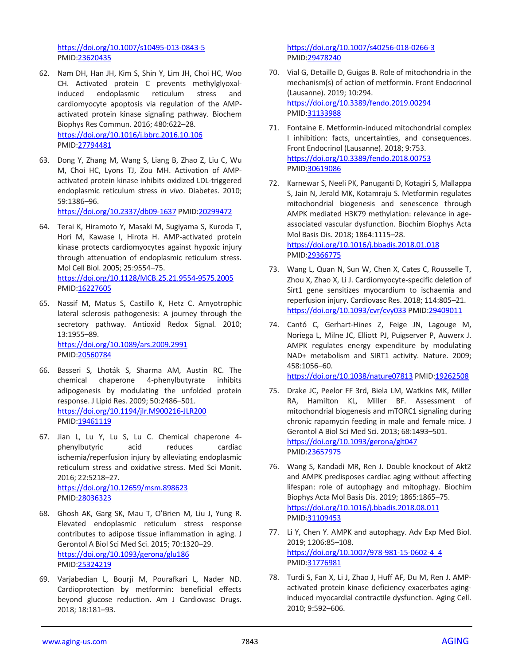<https://doi.org/10.1007/s10495-013-0843-5> PMID[:23620435](https://pubmed.ncbi.nlm.nih.gov/23620435)

- 62. Nam DH, Han JH, Kim S, Shin Y, Lim JH, Choi HC, Woo CH. Activated protein C prevents methylglyoxalinduced endoplasmic reticulum stress and cardiomyocyte apoptosis via regulation of the AMPactivated protein kinase signaling pathway. Biochem Biophys Res Commun. 2016; 480:622–28. <https://doi.org/10.1016/j.bbrc.2016.10.106> PMID[:27794481](https://pubmed.ncbi.nlm.nih.gov/27794481)
- 63. Dong Y, Zhang M, Wang S, Liang B, Zhao Z, Liu C, Wu M, Choi HC, Lyons TJ, Zou MH. Activation of AMPactivated protein kinase inhibits oxidized LDL-triggered endoplasmic reticulum stress *in vivo*. Diabetes. 2010; 59:1386–96.

<https://doi.org/10.2337/db09-1637> PMID[:20299472](https://pubmed.ncbi.nlm.nih.gov/20299472)

- 64. Terai K, Hiramoto Y, Masaki M, Sugiyama S, Kuroda T, Hori M, Kawase I, Hirota H. AMP-activated protein kinase protects cardiomyocytes against hypoxic injury through attenuation of endoplasmic reticulum stress. Mol Cell Biol. 2005; 25:9554–75. <https://doi.org/10.1128/MCB.25.21.9554-9575.2005> PMID[:16227605](https://pubmed.ncbi.nlm.nih.gov/16227605)
- 65. Nassif M, Matus S, Castillo K, Hetz C. Amyotrophic lateral sclerosis pathogenesis: A journey through the secretory pathway. Antioxid Redox Signal. 2010; 13:1955–89. <https://doi.org/10.1089/ars.2009.2991> PMID[:20560784](https://pubmed.ncbi.nlm.nih.gov/20560784)
- 66. Basseri S, Lhoták S, Sharma AM, Austin RC. The chemical chaperone 4-phenylbutyrate inhibits adipogenesis by modulating the unfolded protein response. J Lipid Res. 2009; 50:2486–501. <https://doi.org/10.1194/jlr.M900216-JLR200> PMID[:19461119](https://pubmed.ncbi.nlm.nih.gov/19461119)
- 67. Jian L, Lu Y, Lu S, Lu C. Chemical chaperone 4 phenylbutyric acid reduces cardiac ischemia/reperfusion injury by alleviating endoplasmic reticulum stress and oxidative stress. Med Sci Monit. 2016; 22:5218–27. <https://doi.org/10.12659/msm.898623> PMID[:28036323](https://pubmed.ncbi.nlm.nih.gov/28036323)
- 68. Ghosh AK, Garg SK, Mau T, O'Brien M, Liu J, Yung R. Elevated endoplasmic reticulum stress response contributes to adipose tissue inflammation in aging. J Gerontol A Biol Sci Med Sci. 2015; 70:1320–29. <https://doi.org/10.1093/gerona/glu186> PMID[:25324219](https://pubmed.ncbi.nlm.nih.gov/25324219)
- 69. Varjabedian L, Bourji M, Pourafkari L, Nader ND. Cardioprotection by metformin: beneficial effects beyond glucose reduction. Am J Cardiovasc Drugs. 2018; 18:181–93.

<https://doi.org/10.1007/s40256-018-0266-3> PMI[D:29478240](https://pubmed.ncbi.nlm.nih.gov/29478240)

- 70. Vial G, Detaille D, Guigas B. Role of mitochondria in the mechanism(s) of action of metformin. Front Endocrinol (Lausanne). 2019; 10:294. <https://doi.org/10.3389/fendo.2019.00294> PMI[D:31133988](https://pubmed.ncbi.nlm.nih.gov/31133988)
- 71. Fontaine E. Metformin-induced mitochondrial complex I inhibition: facts, uncertainties, and consequences. Front Endocrinol (Lausanne). 2018; 9:753. <https://doi.org/10.3389/fendo.2018.00753> PMI[D:30619086](https://pubmed.ncbi.nlm.nih.gov/30619086)
- 72. Karnewar S, Neeli PK, Panuganti D, Kotagiri S, Mallappa S, Jain N, Jerald MK, Kotamraju S. Metformin regulates mitochondrial biogenesis and senescence through AMPK mediated H3K79 methylation: relevance in ageassociated vascular dysfunction. Biochim Biophys Acta Mol Basis Dis. 2018; 1864:1115–28. <https://doi.org/10.1016/j.bbadis.2018.01.018> PMI[D:29366775](https://pubmed.ncbi.nlm.nih.gov/29366775)
- 73. Wang L, Quan N, Sun W, Chen X, Cates C, Rousselle T, Zhou X, Zhao X, Li J. Cardiomyocyte-specific deletion of Sirt1 gene sensitizes myocardium to ischaemia and reperfusion injury. Cardiovasc Res. 2018; 114:805–21. <https://doi.org/10.1093/cvr/cvy033> PMID[:29409011](https://pubmed.ncbi.nlm.nih.gov/29409011)
- 74. Cantó C, Gerhart-Hines Z, Feige JN, Lagouge M, Noriega L, Milne JC, Elliott PJ, Puigserver P, Auwerx J. AMPK regulates energy expenditure by modulating NAD+ metabolism and SIRT1 activity. Nature. 2009; 458:1056–60. <https://doi.org/10.1038/nature07813> PMI[D:19262508](https://pubmed.ncbi.nlm.nih.gov/19262508)
- 75. Drake JC, Peelor FF 3rd, Biela LM, Watkins MK, Miller RA, Hamilton KL, Miller BF. Assessment of mitochondrial biogenesis and mTORC1 signaling during chronic rapamycin feeding in male and female mice. J Gerontol A Biol Sci Med Sci. 2013; 68:1493–501. <https://doi.org/10.1093/gerona/glt047> PMI[D:23657975](https://pubmed.ncbi.nlm.nih.gov/23657975)
- 76. Wang S, Kandadi MR, Ren J. Double knockout of Akt2 and AMPK predisposes cardiac aging without affecting lifespan: role of autophagy and mitophagy. Biochim Biophys Acta Mol Basis Dis. 2019; 1865:1865–75. <https://doi.org/10.1016/j.bbadis.2018.08.011> PMI[D:31109453](https://pubmed.ncbi.nlm.nih.gov/31109453)
- 77. Li Y, Chen Y. AMPK and autophagy. Adv Exp Med Biol. 2019; 1206:85–108. [https://doi.org/10.1007/978-981-15-0602-4\\_4](https://doi.org/10.1007/978-981-15-0602-4_4) PMI[D:31776981](https://pubmed.ncbi.nlm.nih.gov/31776981)
- 78. Turdi S, Fan X, Li J, Zhao J, Huff AF, Du M, Ren J. AMPactivated protein kinase deficiency exacerbates aginginduced myocardial contractile dysfunction. Aging Cell. 2010; 9:592–606.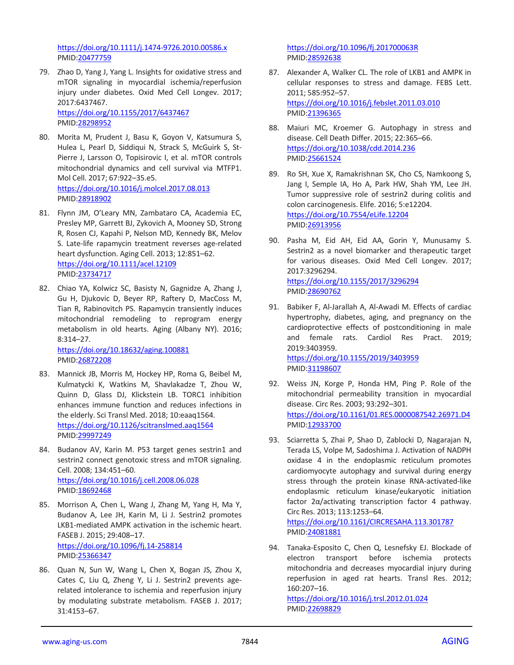<https://doi.org/10.1111/j.1474-9726.2010.00586.x> PMID[:20477759](https://pubmed.ncbi.nlm.nih.gov/20477759)

79. Zhao D, Yang J, Yang L. Insights for oxidative stress and mTOR signaling in myocardial ischemia/reperfusion injury under diabetes. Oxid Med Cell Longev. 2017; 2017:6437467. <https://doi.org/10.1155/2017/6437467>

PMID[:28298952](https://pubmed.ncbi.nlm.nih.gov/28298952)

- 80. Morita M, Prudent J, Basu K, Goyon V, Katsumura S, Hulea L, Pearl D, Siddiqui N, Strack S, McGuirk S, St-Pierre J, Larsson O, Topisirovic I, et al. mTOR controls mitochondrial dynamics and cell survival via MTFP1. Mol Cell. 2017; 67:922–35.e5. <https://doi.org/10.1016/j.molcel.2017.08.013> PMID[:28918902](https://pubmed.ncbi.nlm.nih.gov/28918902)
- 81. Flynn JM, O'Leary MN, Zambataro CA, Academia EC, Presley MP, Garrett BJ, Zykovich A, Mooney SD, Strong R, Rosen CJ, Kapahi P, Nelson MD, Kennedy BK, Melov S. Late-life rapamycin treatment reverses age-related heart dysfunction. Aging Cell. 2013; 12:851–62. <https://doi.org/10.1111/acel.12109> PMID[:23734717](https://pubmed.ncbi.nlm.nih.gov/23734717)
- 82. Chiao YA, Kolwicz SC, Basisty N, Gagnidze A, Zhang J, Gu H, Djukovic D, Beyer RP, Raftery D, MacCoss M, Tian R, Rabinovitch PS. Rapamycin transiently induces mitochondrial remodeling to reprogram energy metabolism in old hearts. Aging (Albany NY). 2016; 8:314–27.

<https://doi.org/10.18632/aging.100881> PMID[:26872208](https://pubmed.ncbi.nlm.nih.gov/26872208)

- 83. Mannick JB, Morris M, Hockey HP, Roma G, Beibel M, Kulmatycki K, Watkins M, Shavlakadze T, Zhou W, Quinn D, Glass DJ, Klickstein LB. TORC1 inhibition enhances immune function and reduces infections in the elderly. Sci Transl Med. 2018; 10:eaaq1564. <https://doi.org/10.1126/scitranslmed.aaq1564> PMID[:29997249](https://pubmed.ncbi.nlm.nih.gov/29997249)
- 84. Budanov AV, Karin M. P53 target genes sestrin1 and sestrin2 connect genotoxic stress and mTOR signaling. Cell. 2008; 134:451–60. <https://doi.org/10.1016/j.cell.2008.06.028> PMID[:18692468](https://pubmed.ncbi.nlm.nih.gov/18692468)
- 85. Morrison A, Chen L, Wang J, Zhang M, Yang H, Ma Y, Budanov A, Lee JH, Karin M, Li J. Sestrin2 promotes LKB1-mediated AMPK activation in the ischemic heart. FASEB J. 2015; 29:408–17. <https://doi.org/10.1096/fj.14-258814> PMID[:25366347](https://pubmed.ncbi.nlm.nih.gov/25366347)
- 86. Quan N, Sun W, Wang L, Chen X, Bogan JS, Zhou X, Cates C, Liu Q, Zheng Y, Li J. Sestrin2 prevents agerelated intolerance to ischemia and reperfusion injury by modulating substrate metabolism. FASEB J. 2017; 31:4153–67.

<https://doi.org/10.1096/fj.201700063R> PMI[D:28592638](https://pubmed.ncbi.nlm.nih.gov/28592638)

- 87. Alexander A, Walker CL. The role of LKB1 and AMPK in cellular responses to stress and damage. FEBS Lett. 2011; 585:952–57. <https://doi.org/10.1016/j.febslet.2011.03.010> PMI[D:21396365](https://pubmed.ncbi.nlm.nih.gov/21396365)
- 88. Maiuri MC, Kroemer G. Autophagy in stress and disease. Cell Death Differ. 2015; 22:365–66. <https://doi.org/10.1038/cdd.2014.236> PMI[D:25661524](https://pubmed.ncbi.nlm.nih.gov/25661524)
- 89. Ro SH, Xue X, Ramakrishnan SK, Cho CS, Namkoong S, Jang I, Semple IA, Ho A, Park HW, Shah YM, Lee JH. Tumor suppressive role of sestrin2 during colitis and colon carcinogenesis. Elife. 2016; 5:e12204. <https://doi.org/10.7554/eLife.12204> PMI[D:26913956](https://pubmed.ncbi.nlm.nih.gov/26913956)
- 90. Pasha M, Eid AH, Eid AA, Gorin Y, Munusamy S. Sestrin2 as a novel biomarker and therapeutic target for various diseases. Oxid Med Cell Longev. 2017; 2017:3296294. <https://doi.org/10.1155/2017/3296294> PMI[D:28690762](https://pubmed.ncbi.nlm.nih.gov/28690762)
- 91. Babiker F, Al-Jarallah A, Al-Awadi M. Effects of cardiac hypertrophy, diabetes, aging, and pregnancy on the cardioprotective effects of postconditioning in male and female rats. Cardiol Res Pract. 2019; 2019:3403959. <https://doi.org/10.1155/2019/3403959> PMI[D:31198607](https://pubmed.ncbi.nlm.nih.gov/31198607)
- 92. Weiss JN, Korge P, Honda HM, Ping P. Role of the mitochondrial permeability transition in myocardial disease. Circ Res. 2003; 93:292–301. <https://doi.org/10.1161/01.RES.0000087542.26971.D4> PMI[D:12933700](https://pubmed.ncbi.nlm.nih.gov/12933700)
- 93. Sciarretta S, Zhai P, Shao D, Zablocki D, Nagarajan N, Terada LS, Volpe M, Sadoshima J. Activation of NADPH oxidase 4 in the endoplasmic reticulum promotes cardiomyocyte autophagy and survival during energy stress through the protein kinase RNA-activated-like endoplasmic reticulum kinase/eukaryotic initiation factor 2α/activating transcription factor 4 pathway. Circ Res. 2013; 113:1253–64. <https://doi.org/10.1161/CIRCRESAHA.113.301787>

PMI[D:24081881](https://pubmed.ncbi.nlm.nih.gov/24081881)

94. Tanaka-Esposito C, Chen Q, Lesnefsky EJ. Blockade of electron transport before ischemia protects mitochondria and decreases myocardial injury during reperfusion in aged rat hearts. Transl Res. 2012; 160:207–16.

<https://doi.org/10.1016/j.trsl.2012.01.024> PMI[D:22698829](https://pubmed.ncbi.nlm.nih.gov/22698829)